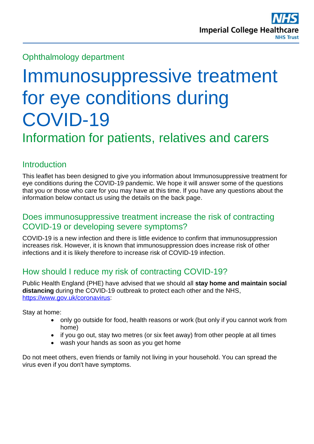### Ophthalmology department

# Immunosuppressive treatment for eye conditions during COVID-19 Information for patients, relatives and carers

# **Introduction**

This leaflet has been designed to give you information about Immunosuppressive treatment for eye conditions during the COVID-19 pandemic. We hope it will answer some of the questions that you or those who care for you may have at this time. If you have any questions about the information below contact us using the details on the back page.

#### Does immunosuppressive treatment increase the risk of contracting COVID-19 or developing severe symptoms?

COVID-19 is a new infection and there is little evidence to confirm that immunosuppression increases risk. However, it is known that immunosuppression does increase risk of other infections and it is likely therefore to increase risk of COVID-19 infection.

## How should I reduce my risk of contracting COVID-19?

Public Health England (PHE) have advised that we should all **stay home and maintain social distancing** during the COVID-19 outbreak to protect each other and the NHS, [https://www.gov.uk/coronavirus:](https://www.gov.uk/coronavirus)

Stay at home:

- only go outside for food, health reasons or work (but only if you cannot work from home)
- if you go out, stay two metres (or six feet away) from other people at all times
- wash your hands as soon as you get home

Do not meet others, even friends or family not living in your household. You can spread the virus even if you don't have symptoms.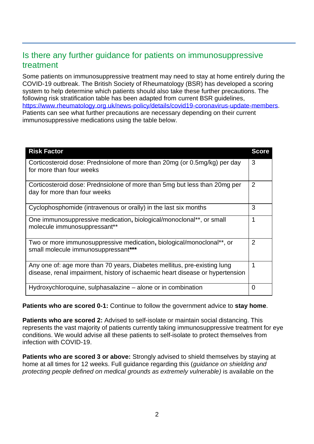#### Is there any further guidance for patients on immunosuppressive treatment

Some patients on immunosuppressive treatment may need to stay at home entirely during the COVID-19 outbreak. The British Society of Rheumatology (BSR) has developed a scoring system to help determine which patients should also take these further precautions. The following risk stratification table has been adapted from current BSR guidelines, [https://www.rheumatology.org.uk/news-policy/details/covid19-coronavirus-update-members.](https://www.rheumatology.org.uk/news-policy/details/covid19-coronavirus-update-members) Patients can see what further precautions are necessary depending on their current immunosuppressive medications using the table below.

| <b>Risk Factor</b>                                                                                                                                        | <b>Score</b> |
|-----------------------------------------------------------------------------------------------------------------------------------------------------------|--------------|
| Corticosteroid dose: Prednsiolone of more than 20mg (or 0.5mg/kg) per day<br>for more than four weeks                                                     | 3            |
| Corticosteroid dose: Prednsiolone of more than 5mg but less than 20mg per<br>day for more than four weeks                                                 | 2            |
| Cyclophosphomide (intravenous or orally) in the last six months                                                                                           | 3            |
| One immunosuppressive medication, biological/monoclonal**, or small<br>molecule immunosuppressant**                                                       | 1            |
| Two or more immunosuppressive medication, biological/monoclonal**, or<br>small molecule immunosuppressant***                                              | 2            |
| Any one of: age more than 70 years, Diabetes mellitus, pre-existing lung<br>disease, renal impairment, history of ischaemic heart disease or hypertension |              |
| Hydroxychloroquine, sulphasalazine – alone or in combination                                                                                              | 0            |

**Patients who are scored 0-1:** Continue to follow the government advice to **stay home**.

**Patients who are scored 2:** Advised to self-isolate or maintain social distancing. This represents the vast majority of patients currently taking immunosuppressive treatment for eye conditions. We would advise all these patients to self-isolate to protect themselves from infection with COVID-19.

**Patients who are scored 3 or above:** Strongly advised to shield themselves by staying at home at all times for 12 weeks. Full guidance regarding this (*guidance on shielding and protecting people defined on medical grounds as extremely vulnerable)* is available on the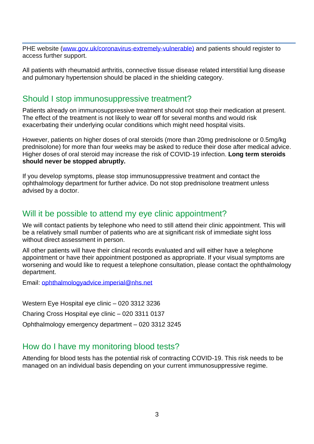PHE website [\(www.gov.uk/coronavirus-extremely-vulnerable\)](http://www.gov.uk/coronavirus-extremely-vulnerable) and patients should register to access further support.

All patients with rheumatoid arthritis, connective tissue disease related interstitial lung disease and pulmonary hypertension should be placed in the shielding category.

#### Should I stop immunosuppressive treatment?

Patients already on immunosuppressive treatment should not stop their medication at present. The effect of the treatment is not likely to wear off for several months and would risk exacerbating their underlying ocular conditions which might need hospital visits.

However, patients on higher doses of oral steroids (more than 20mg prednisolone or 0.5mg/kg prednisolone) for more than four weeks may be asked to reduce their dose after medical advice. Higher doses of oral steroid may increase the risk of COVID-19 infection. **Long term steroids should never be stopped abruptly.**

If you develop symptoms, please stop immunosuppressive treatment and contact the ophthalmology department for further advice. Do not stop prednisolone treatment unless advised by a doctor.

#### Will it be possible to attend my eye clinic appointment?

We will contact patients by telephone who need to still attend their clinic appointment. This will be a relatively small number of patients who are at significant risk of immediate sight loss without direct assessment in person.

All other patients will have their clinical records evaluated and will either have a telephone appointment or have their appointment postponed as appropriate. If your visual symptoms are worsening and would like to request a telephone consultation, please contact the ophthalmology department.

Email: [ophthalmologyadvice.imperial@nhs.net](mailto:ophthalmologyadvice.imperial@nhs.net)

Western Eye Hospital eye clinic – 020 3312 3236 Charing Cross Hospital eye clinic – 020 3311 0137 Ophthalmology emergency department – 020 3312 3245

#### How do I have my monitoring blood tests?

Attending for blood tests has the potential risk of contracting COVID-19. This risk needs to be managed on an individual basis depending on your current immunosuppressive regime.